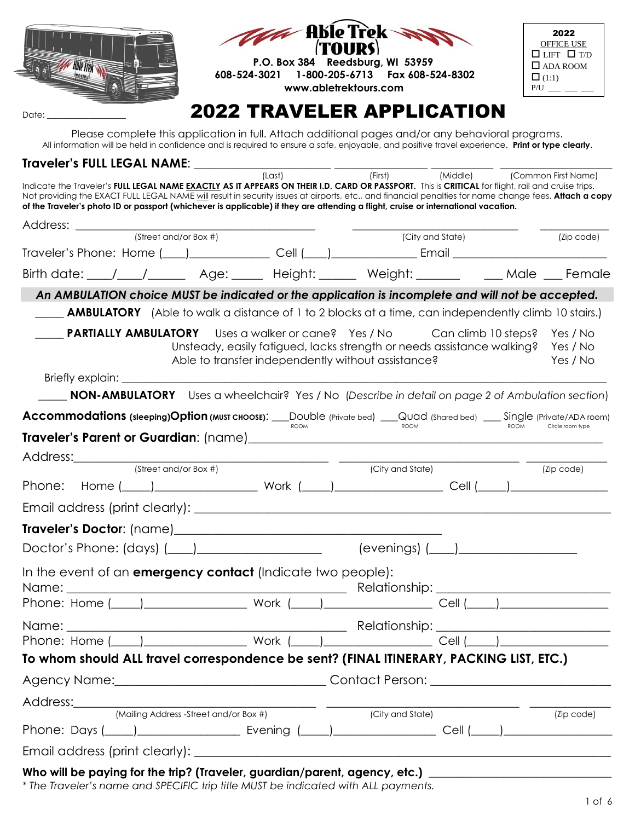

Please complete this application in full. Attach additional pages and/or any behavioral programs. All information will be held in confidence and is required to ensure a safe, enjoyable, and positive travel experience. **Print or type clearly**.

# **Traveler's FULL LEGAL NAME**: \_\_\_\_\_\_\_\_\_\_\_\_\_\_\_\_\_\_\_\_\_\_ \_\_\_\_\_\_\_\_\_\_\_\_\_\_\_ \_\_\_\_\_\_\_\_\_\_ \_\_\_\_\_\_\_\_\_\_\_\_\_\_\_\_\_\_

|                                                                                                                                                              | (Last) | (First) | (Middle) | (Common First Name) |
|--------------------------------------------------------------------------------------------------------------------------------------------------------------|--------|---------|----------|---------------------|
| Indicate the Traveler's FULL LEGAL NAME EXACTLY AS IT APPEARS ON THEIR I.D. CARD OR PASSPORT. This is CRITICAL for flight, rail and cruise trips.            |        |         |          |                     |
| Not providing the EXACT FULL LEGAL NAME will result in security issues at airports, etc., and financial penalties for name change fees. <b>Attach a copy</b> |        |         |          |                     |
| of the Traveler's photo ID or passport (whichever is applicable) if they are attending a flight, cruise or international vacation.                           |        |         |          |                     |
|                                                                                                                                                              |        |         |          |                     |

| Address: ________                                                                                              |                                                                                                                                                                                                                                               |
|----------------------------------------------------------------------------------------------------------------|-----------------------------------------------------------------------------------------------------------------------------------------------------------------------------------------------------------------------------------------------|
| $\sqrt{\text{Stree}}$ and/or Box #)                                                                            | (City and State)<br>(Zip code)                                                                                                                                                                                                                |
|                                                                                                                |                                                                                                                                                                                                                                               |
|                                                                                                                | Birth date: \___/ ___/_________ Age: ______ Height: _______ Weight: _______ ____ Male ___ Female                                                                                                                                              |
|                                                                                                                | An AMBULATION choice MUST be indicated or the application is incomplete and will not be accepted.                                                                                                                                             |
|                                                                                                                | <b>AMBULATORY</b> (Able to walk a distance of 1 to 2 blocks at a time, can independently climb 10 stairs.)                                                                                                                                    |
|                                                                                                                | <b>PARTIALLY AMBULATORY</b> Uses a walker or cane? Yes / No Can climb 10 steps? Yes / No<br>Unsteady, easily fatigued, lacks strength or needs assistance walking? Yes / No<br>Able to transfer independently without assistance?<br>Yes / No |
|                                                                                                                |                                                                                                                                                                                                                                               |
|                                                                                                                | NON-AMBULATORY Uses a wheelchair? Yes / No (Describe in detail on page 2 of Ambulation section)                                                                                                                                               |
|                                                                                                                | Accommodations (sleeping)Option (MUST CHOOSE): __DOUble (Private bed) ___QUad (Shared bed) ___ Single (Private/ADA room)                                                                                                                      |
| <b>ROOM</b>                                                                                                    | <b>ROOM</b><br><b>ROOM</b><br>Circle room type                                                                                                                                                                                                |
|                                                                                                                |                                                                                                                                                                                                                                               |
| (Street and/or Box #)                                                                                          | (City and State)<br>(Zip code)                                                                                                                                                                                                                |
|                                                                                                                | Phone: Home ( ) Work ( ) Work ( ) Cell ( ) New York ( ) 2014                                                                                                                                                                                  |
|                                                                                                                |                                                                                                                                                                                                                                               |
|                                                                                                                |                                                                                                                                                                                                                                               |
| Doctor's Phone: (days) (____)____________________________(evenings) (____)__________________________           |                                                                                                                                                                                                                                               |
| In the event of an <b>emergency contact</b> (Indicate two people):                                             |                                                                                                                                                                                                                                               |
|                                                                                                                |                                                                                                                                                                                                                                               |
|                                                                                                                |                                                                                                                                                                                                                                               |
|                                                                                                                |                                                                                                                                                                                                                                               |
|                                                                                                                |                                                                                                                                                                                                                                               |
| To whom should ALL travel correspondence be sent? (FINAL ITINERARY, PACKING LIST, ETC.)                        |                                                                                                                                                                                                                                               |
| Agency Name:                                                                                                   | <b>Contact Person:</b>                                                                                                                                                                                                                        |
| Address:                                                                                                       |                                                                                                                                                                                                                                               |
| (Mailing Address -Street and/or Box #)                                                                         | (City and State)<br>(Zip code)                                                                                                                                                                                                                |
| Phone: Days (____)____________________________ Evening (_____)__________________                               |                                                                                                                                                                                                                                               |
|                                                                                                                |                                                                                                                                                                                                                                               |
| Who will be paying for the trip? (Traveler, guardian/parent, agency, etc.) ___________________________________ |                                                                                                                                                                                                                                               |

*\* The Traveler's name and SPECIFIC trip title MUST be indicated with ALL payments.*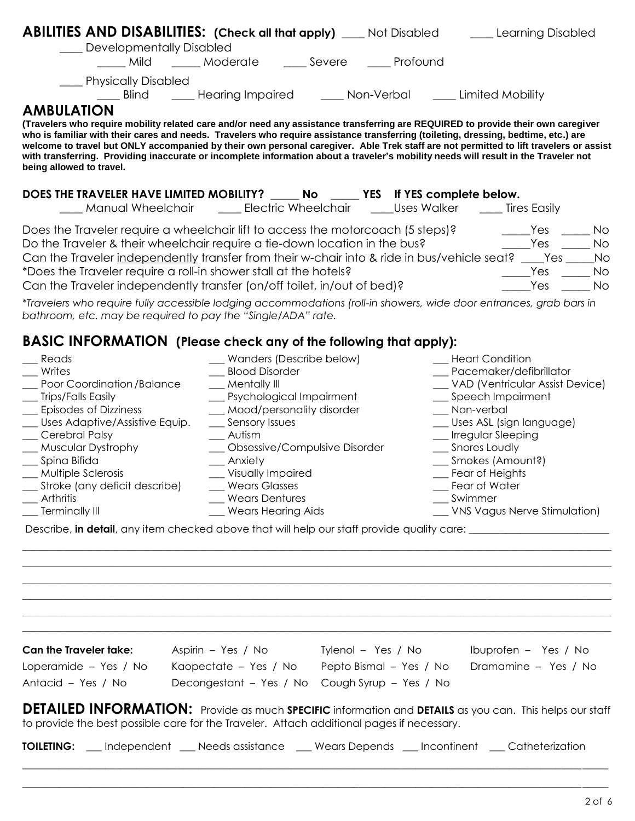| <b>ABILITIES AND DISABILITIES:</b> (Check all that apply) ___ Not Disabled                                                                                                                                                                                                                                                                                                                                                                |                                                |  | ___ Learning Disabled                                                                                                                 |  |
|-------------------------------------------------------------------------------------------------------------------------------------------------------------------------------------------------------------------------------------------------------------------------------------------------------------------------------------------------------------------------------------------------------------------------------------------|------------------------------------------------|--|---------------------------------------------------------------------------------------------------------------------------------------|--|
| ___ Developmentally Disabled                                                                                                                                                                                                                                                                                                                                                                                                              |                                                |  |                                                                                                                                       |  |
| Mild                                                                                                                                                                                                                                                                                                                                                                                                                                      | Moderate ______Severe ______Profound           |  |                                                                                                                                       |  |
| ___ Physically Disabled                                                                                                                                                                                                                                                                                                                                                                                                                   |                                                |  |                                                                                                                                       |  |
|                                                                                                                                                                                                                                                                                                                                                                                                                                           |                                                |  | _____Blind _______Hearing Impaired _________Non-Verbal ________ Limited Mobility                                                      |  |
| <b>AMBULATION</b>                                                                                                                                                                                                                                                                                                                                                                                                                         |                                                |  |                                                                                                                                       |  |
| (Travelers who require mobility related care and/or need any assistance transferring are REQUIRED to provide their own caregiver<br>who is familiar with their cares and needs. Travelers who require assistance transferring (toileting, dressing, bedtime, etc.) are<br>with transferring. Providing inaccurate or incomplete information about a traveler's mobility needs will result in the Traveler not<br>being allowed to travel. |                                                |  | welcome to travel but ONLY accompanied by their own personal caregiver. Able Trek staff are not permitted to lift travelers or assist |  |
| DOES THE TRAVELER HAVE LIMITED MOBILITY? _____ No ______ YES If YES complete below.                                                                                                                                                                                                                                                                                                                                                       |                                                |  |                                                                                                                                       |  |
|                                                                                                                                                                                                                                                                                                                                                                                                                                           |                                                |  |                                                                                                                                       |  |
| Does the Traveler require a wheelchair lift to access the motorcoach (5 steps)?                                                                                                                                                                                                                                                                                                                                                           |                                                |  | $\rule{1em}{0.15mm}$ Yes<br>No.                                                                                                       |  |
| Do the Traveler & their wheelchair require a tie-down location in the bus?                                                                                                                                                                                                                                                                                                                                                                |                                                |  | <b>Parage Yes</b><br><b>No</b>                                                                                                        |  |
| Can the Traveler independently transfer from their w-chair into & ride in bus/vehicle seat? ____Yes ___                                                                                                                                                                                                                                                                                                                                   |                                                |  | No                                                                                                                                    |  |
| *Does the Traveler require a roll-in shower stall at the hotels?                                                                                                                                                                                                                                                                                                                                                                          |                                                |  | Yes<br>No                                                                                                                             |  |
| Can the Traveler independently transfer (on/off toilet, in/out of bed)?                                                                                                                                                                                                                                                                                                                                                                   |                                                |  | Yes<br><b>No</b>                                                                                                                      |  |
| *Travelers who require fully accessible lodging accommodations (roll-in showers, wide door entrances, grab bars in<br>bathroom, etc. may be required to pay the "Single/ADA" rate.                                                                                                                                                                                                                                                        |                                                |  |                                                                                                                                       |  |
|                                                                                                                                                                                                                                                                                                                                                                                                                                           |                                                |  |                                                                                                                                       |  |
| BASIC INFORMATION (Please check any of the following that apply):                                                                                                                                                                                                                                                                                                                                                                         |                                                |  |                                                                                                                                       |  |
| Reads                                                                                                                                                                                                                                                                                                                                                                                                                                     | _ Wanders (Describe below)                     |  | __ Heart Condition                                                                                                                    |  |
| Writes                                                                                                                                                                                                                                                                                                                                                                                                                                    | __ Blood Disorder                              |  | __ Pacemaker/defibrillator                                                                                                            |  |
| Poor Coordination/Balance<br>__ Trips/Falls Easily                                                                                                                                                                                                                                                                                                                                                                                        | __ Mentally III<br>_ Psychological Impairment  |  | __ VAD (Ventricular Assist Device)<br>__ Speech Impairment                                                                            |  |
| __ Episodes of Dizziness                                                                                                                                                                                                                                                                                                                                                                                                                  | _ Mood/personality disorder                    |  | __ Non-verbal                                                                                                                         |  |
| __ Uses Adaptive/Assistive Equip.                                                                                                                                                                                                                                                                                                                                                                                                         | __ Sensory Issues                              |  | __ Uses ASL (sign language)                                                                                                           |  |
| _ Cerebral Palsy                                                                                                                                                                                                                                                                                                                                                                                                                          | __ Autism                                      |  | __ Irregular Sleeping                                                                                                                 |  |
| _ Muscular Dystrophy<br>__ Spina Bifida                                                                                                                                                                                                                                                                                                                                                                                                   | _ Obsessive/Compulsive Disorder<br>__ Anxiety  |  | __ Snores Loudly<br>__ Smokes (Amount?)                                                                                               |  |
| __ Multiple Sclerosis                                                                                                                                                                                                                                                                                                                                                                                                                     | _ Visually Impaired                            |  | _ Fear of Heights                                                                                                                     |  |
| Stroke (any deficit describe)                                                                                                                                                                                                                                                                                                                                                                                                             | _ Wears Glasses                                |  | Fear of Water                                                                                                                         |  |
| Arthritis                                                                                                                                                                                                                                                                                                                                                                                                                                 | _ Wears Dentures                               |  | Swimmer                                                                                                                               |  |
| <b>Terminally III</b>                                                                                                                                                                                                                                                                                                                                                                                                                     | <b>Wears Hearing Aids</b>                      |  | __ VNS Vagus Nerve Stimulation)                                                                                                       |  |
| Describe, in detail, any item checked above that will help our staff provide quality care: ___________________                                                                                                                                                                                                                                                                                                                            |                                                |  |                                                                                                                                       |  |
|                                                                                                                                                                                                                                                                                                                                                                                                                                           |                                                |  |                                                                                                                                       |  |
|                                                                                                                                                                                                                                                                                                                                                                                                                                           |                                                |  |                                                                                                                                       |  |
|                                                                                                                                                                                                                                                                                                                                                                                                                                           |                                                |  |                                                                                                                                       |  |
|                                                                                                                                                                                                                                                                                                                                                                                                                                           |                                                |  |                                                                                                                                       |  |
|                                                                                                                                                                                                                                                                                                                                                                                                                                           |                                                |  |                                                                                                                                       |  |
|                                                                                                                                                                                                                                                                                                                                                                                                                                           |                                                |  |                                                                                                                                       |  |
| <b>Can the Traveler take:</b>                                                                                                                                                                                                                                                                                                                                                                                                             |                                                |  |                                                                                                                                       |  |
| Loperamide - Yes / No                                                                                                                                                                                                                                                                                                                                                                                                                     |                                                |  | Kaopectate - Yes / No Pepto Bismal - Yes / No Dramamine - Yes / No                                                                    |  |
| Antacid - Yes / No                                                                                                                                                                                                                                                                                                                                                                                                                        | Decongestant - Yes / No Cough Syrup - Yes / No |  |                                                                                                                                       |  |
| to provide the best possible care for the Traveler. Attach additional pages if necessary.                                                                                                                                                                                                                                                                                                                                                 |                                                |  | DETAILED INFORMATION: Provide as much SPECIFIC information and DETAILS as you can. This helps our staff                               |  |
| <b>TOILETING:</b> __ Independent __ Needs assistance __ Wears Depends __ Incontinent __ Catheterization                                                                                                                                                                                                                                                                                                                                   |                                                |  |                                                                                                                                       |  |

\_\_\_\_\_\_\_\_\_\_\_\_\_\_\_\_\_\_\_\_\_\_\_\_\_\_\_\_\_\_\_\_\_\_\_\_\_\_\_\_\_\_\_\_\_\_\_\_\_\_\_\_\_\_\_\_\_\_\_\_\_\_\_\_\_\_\_\_\_\_\_\_\_\_\_\_\_\_\_\_\_\_\_\_\_\_\_\_\_\_\_\_\_\_\_\_\_\_\_\_\_\_\_\_\_\_\_\_\_\_\_\_\_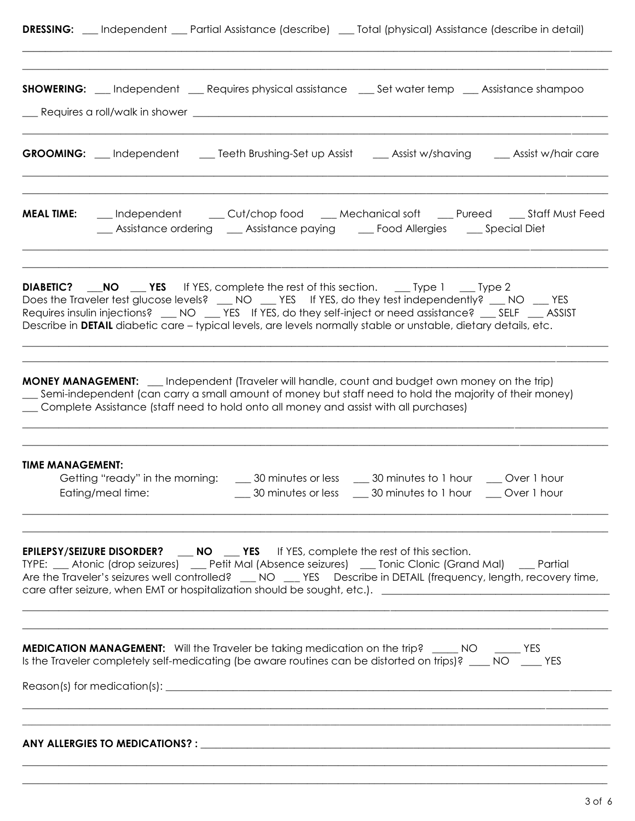| <b>DRESSING:</b> | Independent | Partial Assistance (describe) |  | _ Total (physical) Assistance (describe in detail) |  |
|------------------|-------------|-------------------------------|--|----------------------------------------------------|--|
|------------------|-------------|-------------------------------|--|----------------------------------------------------|--|

\_\_\_\_\_\_\_\_\_\_\_\_\_\_\_\_\_\_\_\_\_\_\_\_\_\_\_\_\_\_\_\_\_\_\_\_\_\_\_\_\_\_\_\_\_\_\_\_\_\_\_\_\_\_\_\_\_\_\_\_\_\_\_\_\_\_\_\_\_\_\_\_\_\_\_\_\_\_\_\_\_\_\_\_\_\_\_\_\_\_\_\_\_\_\_\_\_\_\_\_\_\_\_\_\_\_\_\_\_\_\_\_\_

|                         |                   | <b>SHOWERING:</b> __ Independent __ Requires physical assistance __ Set water temp __ Assistance shampoo                                                                                                                                                                                                                                                                                                                           |                                                     |  |
|-------------------------|-------------------|------------------------------------------------------------------------------------------------------------------------------------------------------------------------------------------------------------------------------------------------------------------------------------------------------------------------------------------------------------------------------------------------------------------------------------|-----------------------------------------------------|--|
|                         |                   | <b>GROOMING:</b> __ Independent ___ Teeth Brushing-Set up Assist ___ Assist w/shaving ___ Assist w/hair care                                                                                                                                                                                                                                                                                                                       |                                                     |  |
| <b>MEAL TIME:</b>       |                   | __ Independent ____ Cut/chop food ____ Mechanical soft ____ Pureed ____ Staff Must Feed<br>__ Assistance ordering ___ Assistance paying ____ Food Allergies ____ Special Diet                                                                                                                                                                                                                                                      |                                                     |  |
|                         |                   | <b>DIABETIC?</b> NO LEVES If YES, complete the rest of this section. Let you be 2<br>Does the Traveler test glucose levels? __ NO __ YES If YES, do they test independently? __ NO YES<br>Requires insulin injections? __NO __YES If YES, do they self-inject or need assistance? __SELF __ASSIST<br>Describe in DETAIL diabetic care - typical levels, are levels normally stable or unstable, dietary details, etc.              |                                                     |  |
|                         |                   | <b>MONEY MANAGEMENT:</b> __ Independent (Traveler will handle, count and budget own money on the trip)<br>[can carry a small amount of money but staff need to hold the majority of their money)<br>Complete Assistance (staff need to hold onto all money and assist with all purchases)                                                                                                                                          |                                                     |  |
| <b>TIME MANAGEMENT:</b> | Eating/meal time: | Getting "ready" in the morning: _____ 30 minutes or less _____ 30 minutes to 1 hour ____ Over 1 hour                                                                                                                                                                                                                                                                                                                               | 30 minutes or less 30 minutes to 1 hour Over 1 hour |  |
|                         |                   | EPILEPSY/SEIZURE DISORDER? __ NO __ YES If YES, complete the rest of this section.<br>TYPE: __ Atonic (drop seizures) __ Petit Mal (Absence seizures) __ Tonic Clonic (Grand Mal) __ Partial<br>Are the Traveler's seizures well controlled? __ NO __ YES Describe in DETAIL (frequency, length, recovery time,<br>care after seizure, when EMT or hospitalization should be sought, etc.). [100] [10] [10] care after seizure can |                                                     |  |
|                         |                   | <b>MEDICATION MANAGEMENT:</b> Will the Traveler be taking medication on the trip? _____ NO ______ YES<br>Is the Traveler completely self-medicating (be aware routines can be distorted on trips)? ____ NO ____ YES                                                                                                                                                                                                                |                                                     |  |
|                         |                   |                                                                                                                                                                                                                                                                                                                                                                                                                                    |                                                     |  |
|                         |                   |                                                                                                                                                                                                                                                                                                                                                                                                                                    |                                                     |  |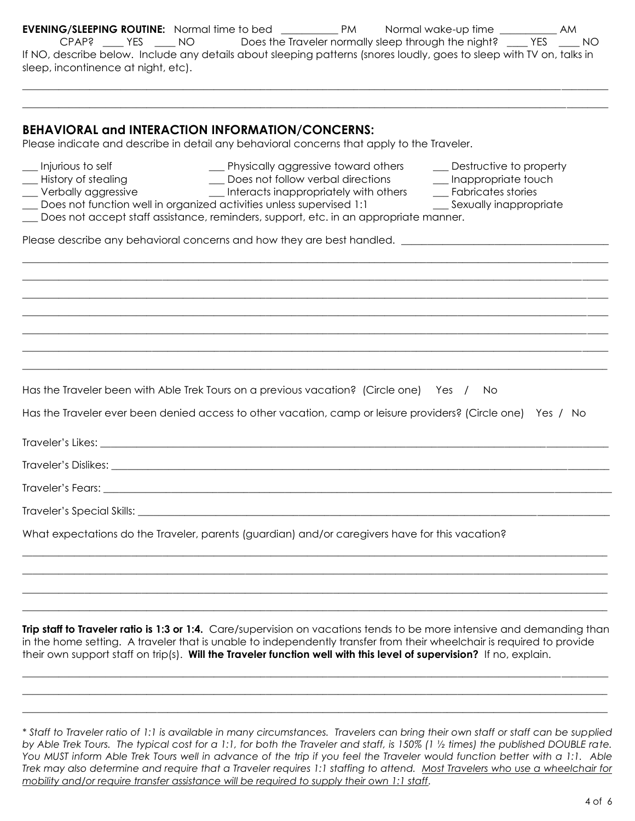| <b>EVENING/SLEEPING ROUTINE:</b> Normal time to bed ____________PM Normal wake-up time _____________AM<br>If NO, describe below. Include any details about sleeping patterns (snores loudly, goes to sleep with TV on, talks in<br>sleep, incontinence at night, etc).                                                                                                                                                                                                               |
|--------------------------------------------------------------------------------------------------------------------------------------------------------------------------------------------------------------------------------------------------------------------------------------------------------------------------------------------------------------------------------------------------------------------------------------------------------------------------------------|
|                                                                                                                                                                                                                                                                                                                                                                                                                                                                                      |
| <b>BEHAVIORAL and INTERACTION INFORMATION/CONCERNS:</b><br>Please indicate and describe in detail any behavioral concerns that apply to the Traveler.                                                                                                                                                                                                                                                                                                                                |
| __ Injurious to self<br>__ History of stealing<br>__ Verbally aggressive<br>__ Physically aggressive toward others<br>__ Destructive to property<br>__ Does not follow verbal directions _____ Inappropriate touch<br>__ Interacts inappropriately with others _____ Fabricates stories<br>Does not function well in organized activities unless supervised 1:1<br>__ Sexually inappropriate<br>Does not accept staff assistance, reminders, support, etc. in an appropriate manner. |
| Please describe any behavioral concerns and how they are best handled. ____________________________                                                                                                                                                                                                                                                                                                                                                                                  |
|                                                                                                                                                                                                                                                                                                                                                                                                                                                                                      |
|                                                                                                                                                                                                                                                                                                                                                                                                                                                                                      |
|                                                                                                                                                                                                                                                                                                                                                                                                                                                                                      |
| Has the Traveler been with Able Trek Tours on a previous vacation? (Circle one) Yes / No                                                                                                                                                                                                                                                                                                                                                                                             |
| Has the Traveler ever been denied access to other vacation, camp or leisure providers? (Circle one) Yes / No                                                                                                                                                                                                                                                                                                                                                                         |
|                                                                                                                                                                                                                                                                                                                                                                                                                                                                                      |
|                                                                                                                                                                                                                                                                                                                                                                                                                                                                                      |
|                                                                                                                                                                                                                                                                                                                                                                                                                                                                                      |
|                                                                                                                                                                                                                                                                                                                                                                                                                                                                                      |
| What expectations do the Traveler, parents (guardian) and/or caregivers have for this vacation?                                                                                                                                                                                                                                                                                                                                                                                      |
|                                                                                                                                                                                                                                                                                                                                                                                                                                                                                      |
|                                                                                                                                                                                                                                                                                                                                                                                                                                                                                      |
| Trip staff to Traveler ratio is 1:3 or 1:4. Care/supervision on vacations tends to be more intensive and demanding than<br>in the home setting. A traveler that is unable to independently transfer from their wheelchair is required to provide<br>their own support staff on trip(s). Will the Traveler function well with this level of supervision? If no, explain.                                                                                                              |
|                                                                                                                                                                                                                                                                                                                                                                                                                                                                                      |

*\* Staff to Traveler ratio of 1:1 is available in many circumstances. Travelers can bring their own staff or staff can be supplied by Able Trek Tours. The typical cost for a 1:1, for both the Traveler and staff, is 150% (1 ½ times) the published DOUBLE rate. You MUST inform Able Trek Tours well in advance of the trip if you feel the Traveler would function better with a 1:1. Able Trek may also determine and require that a Traveler requires 1:1 staffing to attend. Most Travelers who use a wheelchair for mobility and/or require transfer assistance will be required to supply their own 1:1 staff.* 

\_\_\_\_\_\_\_\_\_\_\_\_\_\_\_\_\_\_\_\_\_\_\_\_\_\_\_\_\_\_\_\_\_\_\_\_\_\_\_\_\_\_\_\_\_\_\_\_\_\_\_\_\_\_\_\_\_\_\_\_\_\_\_\_\_\_\_\_\_\_\_\_\_\_\_\_\_\_\_\_\_\_\_\_\_\_\_\_\_\_\_\_\_\_\_\_\_\_\_\_\_\_\_\_\_\_\_\_\_\_\_\_\_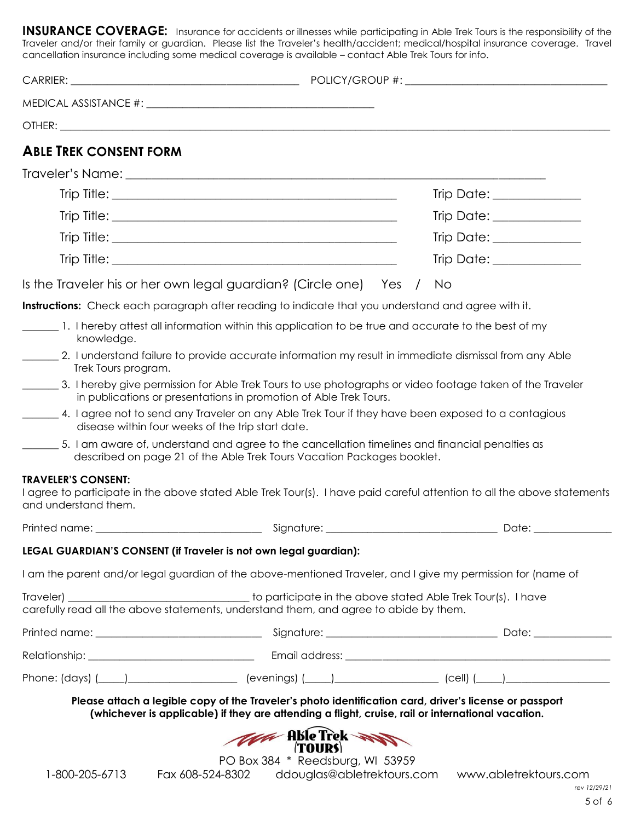**INSURANCE COVERAGE:** Insurance for accidents or illnesses while participating in Able Trek Tours is the responsibility of the Traveler and/or their family or guardian. Please list the Traveler's health/accident; medical/hospital insurance coverage. Travel cancellation insurance including some medical coverage is available – contact Able Trek Tours for info.

| <b>ABLE TREK CONSENT FORM</b>                      |                                                                                                                                                                                                             |                                                                                                                         |
|----------------------------------------------------|-------------------------------------------------------------------------------------------------------------------------------------------------------------------------------------------------------------|-------------------------------------------------------------------------------------------------------------------------|
|                                                    |                                                                                                                                                                                                             |                                                                                                                         |
|                                                    |                                                                                                                                                                                                             | Trip Date: _____________                                                                                                |
|                                                    |                                                                                                                                                                                                             | Trip Date: _____________                                                                                                |
|                                                    |                                                                                                                                                                                                             | Trip Date: _____________                                                                                                |
|                                                    |                                                                                                                                                                                                             | Trip Date: _____________                                                                                                |
|                                                    | Is the Traveler his or her own legal guardian? (Circle one) Yes /                                                                                                                                           | No.                                                                                                                     |
|                                                    | Instructions: Check each paragraph after reading to indicate that you understand and agree with it.                                                                                                         |                                                                                                                         |
| knowledge.                                         | 1. I hereby attest all information within this application to be true and accurate to the best of my                                                                                                        |                                                                                                                         |
| Trek Tours program.                                | 2. I understand failure to provide accurate information my result in immediate dismissal from any Able                                                                                                      |                                                                                                                         |
|                                                    | in publications or presentations in promotion of Able Trek Tours.                                                                                                                                           | 3. I hereby give permission for Able Trek Tours to use photographs or video footage taken of the Traveler               |
|                                                    | 4. I agree not to send any Traveler on any Able Trek Tour if they have been exposed to a contagious<br>disease within four weeks of the trip start date.                                                    |                                                                                                                         |
|                                                    | 5. I am aware of, understand and agree to the cancellation timelines and financial penalties as<br>described on page 21 of the Able Trek Tours Vacation Packages booklet.                                   |                                                                                                                         |
| <b>TRAVELER'S CONSENT:</b><br>and understand them. |                                                                                                                                                                                                             | I agree to participate in the above stated Able Trek Tour(s). I have paid careful attention to all the above statements |
| Printed name:                                      | Signature:                                                                                                                                                                                                  | Date:                                                                                                                   |
|                                                    | LEGAL GUARDIAN'S CONSENT (if Traveler is not own legal guardian):                                                                                                                                           |                                                                                                                         |
|                                                    |                                                                                                                                                                                                             | I am the parent and/or legal guardian of the above-mentioned Traveler, and I give my permission for (name of            |
|                                                    | carefully read all the above statements, understand them, and agree to abide by them.                                                                                                                       |                                                                                                                         |
|                                                    |                                                                                                                                                                                                             |                                                                                                                         |
|                                                    |                                                                                                                                                                                                             |                                                                                                                         |
|                                                    |                                                                                                                                                                                                             | Phone: (days) (____)______________________ (evenings) (____)____________________ (cell) (____)________________          |
|                                                    | Please attach a legible copy of the Traveler's photo identification card, driver's license or passport<br>(whichever is applicable) if they are attending a flight, cruise, rail or international vacation. |                                                                                                                         |
|                                                    | <b>The Able Trek</b>                                                                                                                                                                                        |                                                                                                                         |
| 1-800-205-6713                                     | PO Box 384 * Reedsburg, WI 53959                                                                                                                                                                            | Fax 608-524-8302 ddouglas@abletrektours.com www.abletrektours.com                                                       |